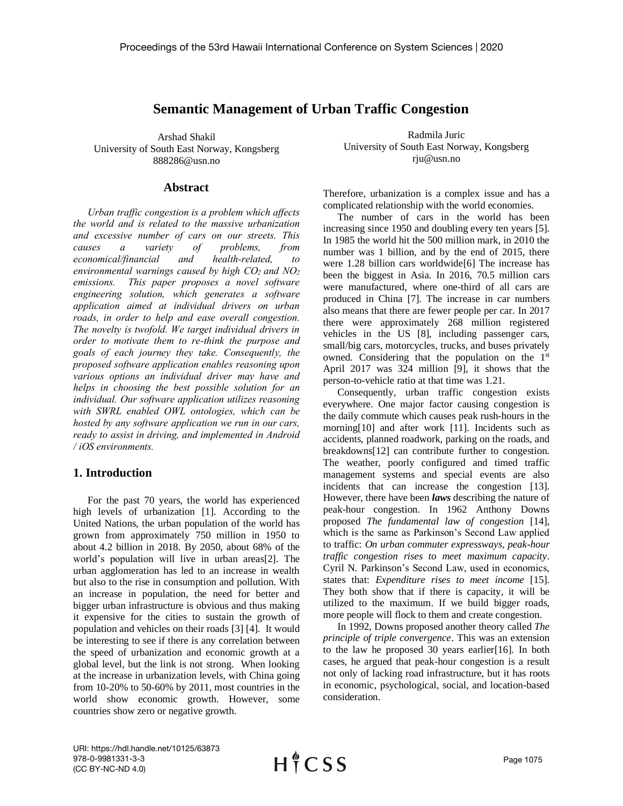# **Semantic Management of Urban Traffic Congestion**

Arshad Shakil University of South East Norway, Kongsberg 888286@usn.no

## **Abstract**

*Urban traffic congestion is a problem which affects the world and is related to the massive urbanization and excessive number of cars on our streets. This causes a variety of problems, from economical/financial and health-related, to environmental warnings caused by high CO2 and NO<sup>2</sup> emissions. This paper proposes a novel software engineering solution, which generates a software application aimed at individual drivers on urban roads, in order to help and ease overall congestion. The novelty is twofold. We target individual drivers in order to motivate them to re-think the purpose and goals of each journey they take. Consequently, the proposed software application enables reasoning upon various options an individual driver may have and helps in choosing the best possible solution for an individual. Our software application utilizes reasoning with SWRL enabled OWL ontologies, which can be hosted by any software application we run in our cars, ready to assist in driving, and implemented in Android / iOS environments.*

# **1. Introduction**

For the past 70 years, the world has experienced high levels of urbanization [1]. According to the United Nations, the urban population of the world has grown from approximately 750 million in 1950 to about 4.2 billion in 2018. By 2050, about 68% of the world's population will live in urban areas[2]. The urban agglomeration has led to an increase in wealth but also to the rise in consumption and pollution. With an increase in population, the need for better and bigger urban infrastructure is obvious and thus making it expensive for the cities to sustain the growth of population and vehicles on their roads [3] [4]. It would be interesting to see if there is any correlation between the speed of urbanization and economic growth at a global level, but the link is not strong. When looking at the increase in urbanization levels, with China going from 10-20% to 50-60% by 2011, most countries in the world show economic growth. However, some countries show zero or negative growth.

Radmila Juric University of South East Norway, Kongsberg rju@usn.no

Therefore, urbanization is a complex issue and has a complicated relationship with the world economies.

The number of cars in the world has been increasing since 1950 and doubling every ten years [5]. In 1985 the world hit the 500 million mark, in 2010 the number was 1 billion, and by the end of 2015, there were 1.28 billion cars worldwide[6] The increase has been the biggest in Asia. In 2016, 70.5 million cars were manufactured, where one-third of all cars are produced in China [7]. The increase in car numbers also means that there are fewer people per car. In 2017 there were approximately 268 million registered vehicles in the US [8], including passenger cars, small/big cars, motorcycles, trucks, and buses privately owned. Considering that the population on the 1<sup>st</sup> April 2017 was 324 million [9], it shows that the person-to-vehicle ratio at that time was 1.21.

Consequently, urban traffic congestion exists everywhere. One major factor causing congestion is the daily commute which causes peak rush-hours in the morning[10] and after work [11]. Incidents such as accidents, planned roadwork, parking on the roads, and breakdowns[12] can contribute further to congestion. The weather, poorly configured and timed traffic management systems and special events are also incidents that can increase the congestion [13]. However, there have been *laws* describing the nature of peak-hour congestion. In 1962 Anthony Downs proposed *The fundamental law of congestion* [14], which is the same as Parkinson's Second Law applied to traffic: *On urban commuter expressways, peak-hour traffic congestion rises to meet maximum capacity*. Cyril N. Parkinson's Second Law, used in economics, states that: *Expenditure rises to meet income* [15]. They both show that if there is capacity, it will be utilized to the maximum. If we build bigger roads, more people will flock to them and create congestion.

In 1992, Downs proposed another theory called *The principle of triple convergence*. This was an extension to the law he proposed 30 years earlier[16]. In both cases, he argued that peak-hour congestion is a result not only of lacking road infrastructure, but it has roots in economic, psychological, social, and location-based consideration.

URI: https://hdl.handle.net/10125/63873 978-0-9981331-3-3 (CC BY-NC-ND 4.0)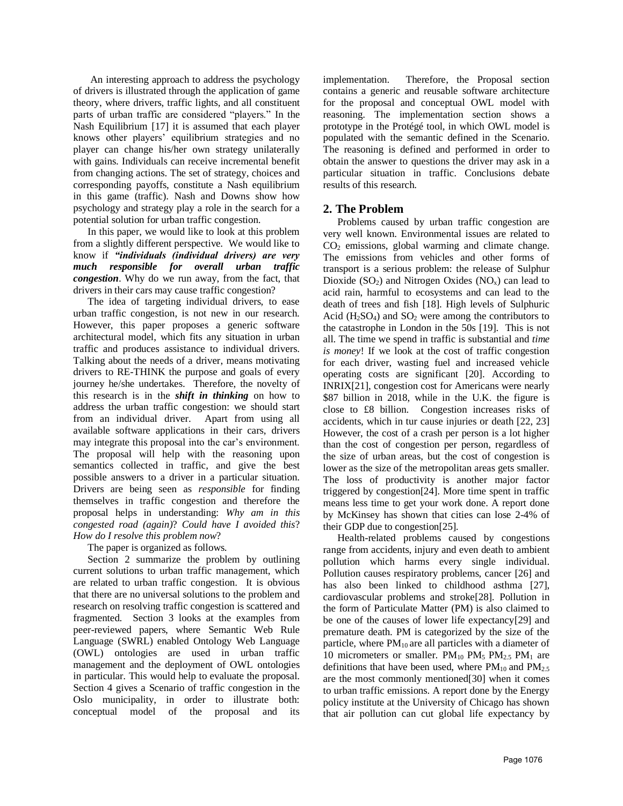An interesting approach to address the psychology of drivers is illustrated through the application of game theory, where drivers, traffic lights, and all constituent parts of urban traffic are considered "players." In the Nash Equilibrium [17] it is assumed that each player knows other players' equilibrium strategies and no player can change his/her own strategy unilaterally with gains. Individuals can receive incremental benefit from changing actions. The set of strategy, choices and corresponding payoffs, constitute a Nash equilibrium in this game (traffic). Nash and Downs show how psychology and strategy play a role in the search for a potential solution for urban traffic congestion.

In this paper, we would like to look at this problem from a slightly different perspective. We would like to know if *"individuals (individual drivers) are very much responsible for overall urban traffic congestion*. Why do we run away, from the fact, that drivers in their cars may cause traffic congestion?

The idea of targeting individual drivers, to ease urban traffic congestion, is not new in our research. However, this paper proposes a generic software architectural model, which fits any situation in urban traffic and produces assistance to individual drivers. Talking about the needs of a driver, means motivating drivers to RE-THINK the purpose and goals of every journey he/she undertakes. Therefore, the novelty of this research is in the *shift in thinking* on how to address the urban traffic congestion: we should start from an individual driver. Apart from using all available software applications in their cars, drivers may integrate this proposal into the car's environment. The proposal will help with the reasoning upon semantics collected in traffic, and give the best possible answers to a driver in a particular situation. Drivers are being seen as *responsible* for finding themselves in traffic congestion and therefore the proposal helps in understanding: *Why am in this congested road (again)*? *Could have I avoided this*? *How do I resolve this problem now*?

#### The paper is organized as follows.

Section 2 summarize the problem by outlining current solutions to urban traffic management, which are related to urban traffic congestion. It is obvious that there are no universal solutions to the problem and research on resolving traffic congestion is scattered and fragmented. Section 3 looks at the examples from peer-reviewed papers, where Semantic Web Rule Language (SWRL) enabled Ontology Web Language (OWL) ontologies are used in urban traffic management and the deployment of OWL ontologies in particular. This would help to evaluate the proposal. Section 4 gives a Scenario of traffic congestion in the Oslo municipality, in order to illustrate both: conceptual model of the proposal and its

implementation. Therefore, the Proposal section contains a generic and reusable software architecture for the proposal and conceptual OWL model with reasoning. The implementation section shows a prototype in the Protégé tool, in which OWL model is populated with the semantic defined in the Scenario. The reasoning is defined and performed in order to obtain the answer to questions the driver may ask in a particular situation in traffic. Conclusions debate results of this research.

# **2. The Problem**

Problems caused by urban traffic congestion are very well known. Environmental issues are related to CO<sup>2</sup> emissions, global warming and climate change. The emissions from vehicles and other forms of transport is a serious problem: the release of Sulphur Dioxide  $(SO_2)$  and Nitrogen Oxides  $(NO_x)$  can lead to acid rain, harmful to ecosystems and can lead to the death of trees and fish [18]. High levels of Sulphuric Acid ( $H_2SO_4$ ) and  $SO_2$  were among the contributors to the catastrophe in London in the 50s [19]. This is not all. The time we spend in traffic is substantial and *time is money*! If we look at the cost of traffic congestion for each driver, wasting fuel and increased vehicle operating costs are significant [20]. According to INRIX[21], congestion cost for Americans were nearly \$87 billion in 2018, while in the U.K. the figure is close to £8 billion. Congestion increases risks of accidents, which in tur cause injuries or death [22, 23] However, the cost of a crash per person is a lot higher than the cost of congestion per person, regardless of the size of urban areas, but the cost of congestion is lower as the size of the metropolitan areas gets smaller. The loss of productivity is another major factor triggered by congestion[24]. More time spent in traffic means less time to get your work done. A report done by McKinsey has shown that cities can lose 2-4% of their GDP due to congestion[25].

Health-related problems caused by congestions range from accidents, injury and even death to ambient pollution which harms every single individual. Pollution causes respiratory problems, cancer [26] and has also been linked to childhood asthma [27], cardiovascular problems and stroke[28]. Pollution in the form of Particulate Matter (PM) is also claimed to be one of the causes of lower life expectancy[29] and premature death. PM is categorized by the size of the particle, where PM<sub>10</sub> are all particles with a diameter of 10 micrometers or smaller.  $PM_{10}$   $PM_{5}$   $PM_{2.5}$   $PM_{1}$  are definitions that have been used, where  $PM_{10}$  and  $PM_{2.5}$ are the most commonly mentioned[30] when it comes to urban traffic emissions. A report done by the Energy policy institute at the University of Chicago has shown that air pollution can cut global life expectancy by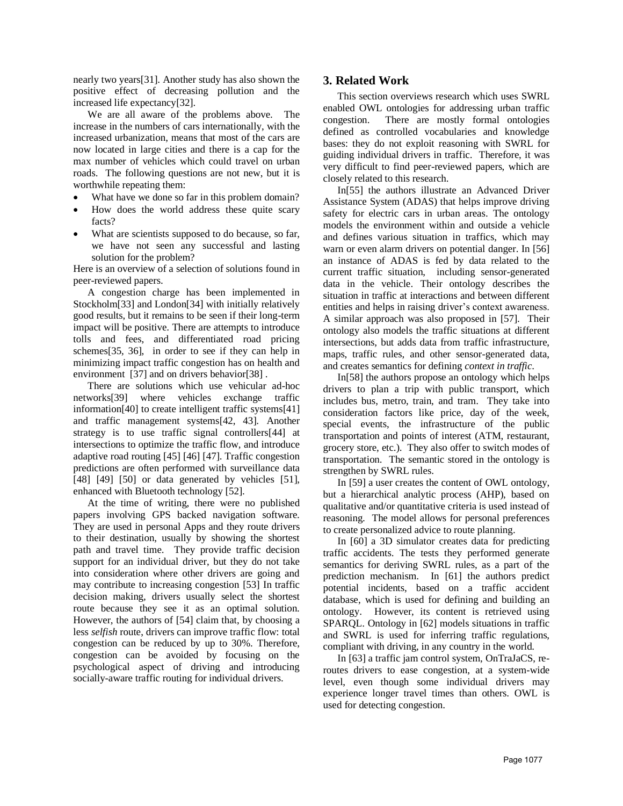nearly two years[31]. Another study has also shown the positive effect of decreasing pollution and the increased life expectancy[32].

We are all aware of the problems above. The increase in the numbers of cars internationally, with the increased urbanization, means that most of the cars are now located in large cities and there is a cap for the max number of vehicles which could travel on urban roads. The following questions are not new, but it is worthwhile repeating them:

- What have we done so far in this problem domain?
- How does the world address these quite scary facts?
- What are scientists supposed to do because, so far, we have not seen any successful and lasting solution for the problem?

Here is an overview of a selection of solutions found in peer-reviewed papers.

A congestion charge has been implemented in Stockholm[33] and London[34] with initially relatively good results, but it remains to be seen if their long-term impact will be positive. There are attempts to introduce tolls and fees, and differentiated road pricing schemes[35, 36], in order to see if they can help in minimizing impact traffic congestion has on health and environment [37] and on drivers behavior[38] .

There are solutions which use vehicular ad-hoc networks[39] where vehicles exchange traffic information[40] to create intelligent traffic systems[41] and traffic management systems[42, 43]. Another strategy is to use traffic signal controllers[44] at intersections to optimize the traffic flow, and introduce adaptive road routing [45] [46] [47]. Traffic congestion predictions are often performed with surveillance data [48] [49] [50] or data generated by vehicles [51], enhanced with Bluetooth technology [52].

At the time of writing, there were no published papers involving GPS backed navigation software. They are used in personal Apps and they route drivers to their destination, usually by showing the shortest path and travel time. They provide traffic decision support for an individual driver, but they do not take into consideration where other drivers are going and may contribute to increasing congestion [53] In traffic decision making, drivers usually select the shortest route because they see it as an optimal solution. However, the authors of [54] claim that, by choosing a less *selfish* route, drivers can improve traffic flow: total congestion can be reduced by up to 30%. Therefore, congestion can be avoided by focusing on the psychological aspect of driving and introducing socially-aware traffic routing for individual drivers.

## **3. Related Work**

This section overviews research which uses SWRL enabled OWL ontologies for addressing urban traffic congestion. There are mostly formal ontologies defined as controlled vocabularies and knowledge bases: they do not exploit reasoning with SWRL for guiding individual drivers in traffic. Therefore, it was very difficult to find peer-reviewed papers, which are closely related to this research.

In[55] the authors illustrate an Advanced Driver Assistance System (ADAS) that helps improve driving safety for electric cars in urban areas. The ontology models the environment within and outside a vehicle and defines various situation in traffics, which may warn or even alarm drivers on potential danger. In [56] an instance of ADAS is fed by data related to the current traffic situation, including sensor-generated data in the vehicle. Their ontology describes the situation in traffic at interactions and between different entities and helps in raising driver's context awareness. A similar approach was also proposed in [57]. Their ontology also models the traffic situations at different intersections, but adds data from traffic infrastructure, maps, traffic rules, and other sensor-generated data, and creates semantics for defining *context in traffic*.

In[58] the authors propose an ontology which helps drivers to plan a trip with public transport, which includes bus, metro, train, and tram. They take into consideration factors like price, day of the week, special events, the infrastructure of the public transportation and points of interest (ATM, restaurant, grocery store, etc.). They also offer to switch modes of transportation. The semantic stored in the ontology is strengthen by SWRL rules.

In [59] a user creates the content of OWL ontology, but a hierarchical analytic process (AHP), based on qualitative and/or quantitative criteria is used instead of reasoning. The model allows for personal preferences to create personalized advice to route planning.

In [60] a 3D simulator creates data for predicting traffic accidents. The tests they performed generate semantics for deriving SWRL rules, as a part of the prediction mechanism. In [61] the authors predict potential incidents, based on a traffic accident database, which is used for defining and building an ontology. However, its content is retrieved using SPARQL. Ontology in [62] models situations in traffic and SWRL is used for inferring traffic regulations, compliant with driving, in any country in the world.

In [63] a traffic jam control system, OnTraJaCS, reroutes drivers to ease congestion, at a system-wide level, even though some individual drivers may experience longer travel times than others. OWL is used for detecting congestion.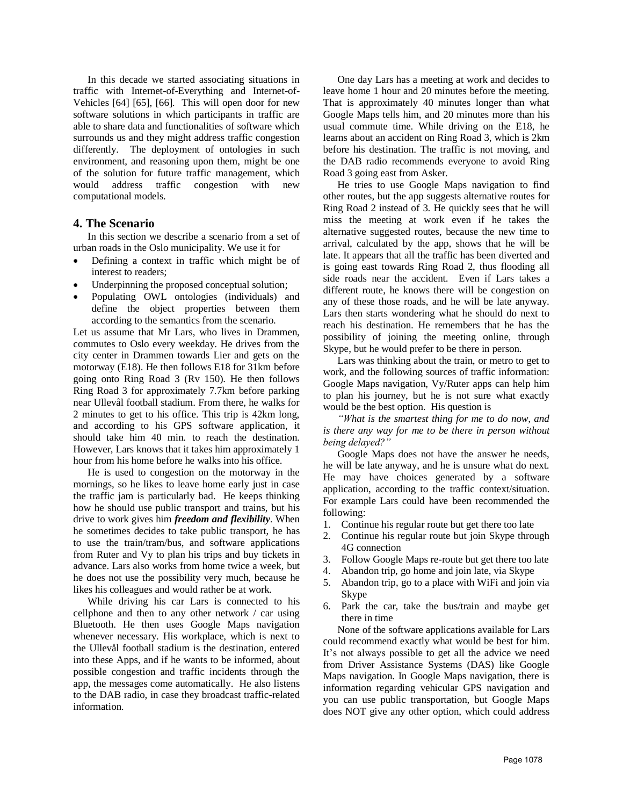In this decade we started associating situations in traffic with Internet-of-Everything and Internet-of-Vehicles [64] [65], [66]. This will open door for new software solutions in which participants in traffic are able to share data and functionalities of software which surrounds us and they might address traffic congestion differently. The deployment of ontologies in such environment, and reasoning upon them, might be one of the solution for future traffic management, which would address traffic congestion with new computational models.

## **4. The Scenario**

In this section we describe a scenario from a set of urban roads in the Oslo municipality. We use it for

- Defining a context in traffic which might be of interest to readers;
- Underpinning the proposed conceptual solution;
- Populating OWL ontologies (individuals) and define the object properties between them according to the semantics from the scenario.

Let us assume that Mr Lars, who lives in Drammen, commutes to Oslo every weekday. He drives from the city center in Drammen towards Lier and gets on the motorway (E18). He then follows E18 for 31km before going onto Ring Road 3 (Rv 150). He then follows Ring Road 3 for approximately 7.7km before parking near Ullevål football stadium. From there, he walks for 2 minutes to get to his office. This trip is 42km long, and according to his GPS software application, it should take him 40 min. to reach the destination. However, Lars knows that it takes him approximately 1 hour from his home before he walks into his office.

He is used to congestion on the motorway in the mornings, so he likes to leave home early just in case the traffic jam is particularly bad. He keeps thinking how he should use public transport and trains, but his drive to work gives him *freedom and flexibility*. When he sometimes decides to take public transport, he has to use the train/tram/bus, and software applications from Ruter and Vy to plan his trips and buy tickets in advance. Lars also works from home twice a week, but he does not use the possibility very much, because he likes his colleagues and would rather be at work.

While driving his car Lars is connected to his cellphone and then to any other network / car using Bluetooth. He then uses Google Maps navigation whenever necessary. His workplace, which is next to the Ullevål football stadium is the destination, entered into these Apps, and if he wants to be informed, about possible congestion and traffic incidents through the app, the messages come automatically. He also listens to the DAB radio, in case they broadcast traffic-related information.

One day Lars has a meeting at work and decides to leave home 1 hour and 20 minutes before the meeting. That is approximately 40 minutes longer than what Google Maps tells him, and 20 minutes more than his usual commute time. While driving on the E18, he learns about an accident on Ring Road 3, which is 2km before his destination. The traffic is not moving, and the DAB radio recommends everyone to avoid Ring Road 3 going east from Asker.

He tries to use Google Maps navigation to find other routes, but the app suggests alternative routes for Ring Road 2 instead of 3. He quickly sees that he will miss the meeting at work even if he takes the alternative suggested routes, because the new time to arrival, calculated by the app, shows that he will be late. It appears that all the traffic has been diverted and is going east towards Ring Road 2, thus flooding all side roads near the accident. Even if Lars takes a different route, he knows there will be congestion on any of these those roads, and he will be late anyway. Lars then starts wondering what he should do next to reach his destination. He remembers that he has the possibility of joining the meeting online, through Skype, but he would prefer to be there in person.

Lars was thinking about the train, or metro to get to work, and the following sources of traffic information: Google Maps navigation, Vy/Ruter apps can help him to plan his journey, but he is not sure what exactly would be the best option. His question is

*"What is the smartest thing for me to do now, and is there any way for me to be there in person without being delayed?"*

Google Maps does not have the answer he needs, he will be late anyway, and he is unsure what do next. He may have choices generated by a software application, according to the traffic context/situation. For example Lars could have been recommended the following:

- 1. Continue his regular route but get there too late
- 2. Continue his regular route but join Skype through 4G connection
- 3. Follow Google Maps re-route but get there too late
- 4. Abandon trip, go home and join late, via Skype
- 5. Abandon trip, go to a place with WiFi and join via Skype
- 6. Park the car, take the bus/train and maybe get there in time

None of the software applications available for Lars could recommend exactly what would be best for him. It's not always possible to get all the advice we need from Driver Assistance Systems (DAS) like Google Maps navigation. In Google Maps navigation, there is information regarding vehicular GPS navigation and you can use public transportation, but Google Maps does NOT give any other option, which could address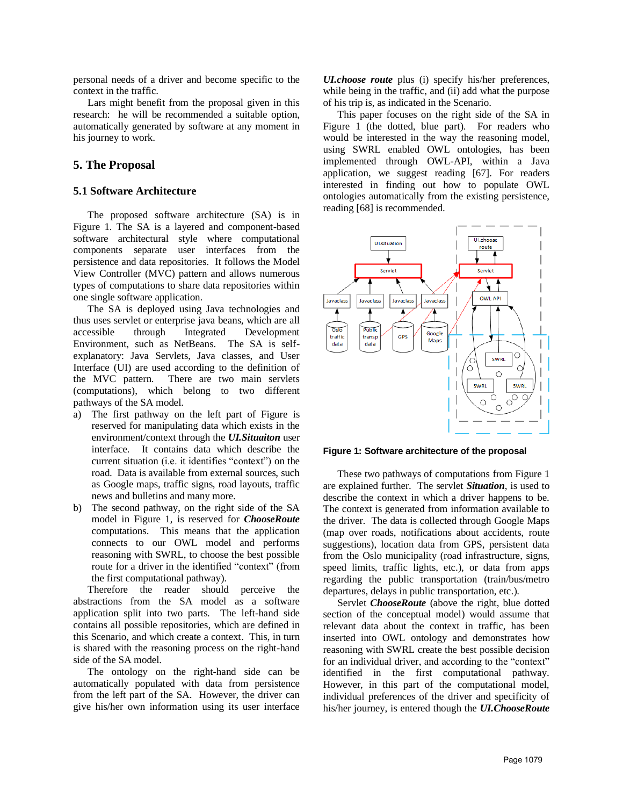personal needs of a driver and become specific to the context in the traffic.

Lars might benefit from the proposal given in this research: he will be recommended a suitable option, automatically generated by software at any moment in his journey to work.

## **5. The Proposal**

## **5.1 Software Architecture**

The proposed software architecture (SA) is in Figure 1. The SA is a layered and component-based software architectural style where computational components separate user interfaces from the persistence and data repositories. It follows the Model View Controller (MVC) pattern and allows numerous types of computations to share data repositories within one single software application.

The SA is deployed using Java technologies and thus uses servlet or enterprise java beans, which are all accessible through Integrated Development Environment, such as NetBeans. The SA is selfexplanatory: Java Servlets, Java classes, and User Interface (UI) are used according to the definition of the MVC pattern. There are two main servlets (computations), which belong to two different pathways of the SA model.

- a) The first pathway on the left part of Figure is reserved for manipulating data which exists in the environment/context through the *UI.Situaiton* user interface. It contains data which describe the current situation (i.e. it identifies "context") on the road. Data is available from external sources, such as Google maps, traffic signs, road layouts, traffic news and bulletins and many more.
- b) The second pathway, on the right side of the SA model in Figure 1, is reserved for *ChooseRoute* computations. This means that the application connects to our OWL model and performs reasoning with SWRL, to choose the best possible route for a driver in the identified "context" (from the first computational pathway).

Therefore the reader should perceive the abstractions from the SA model as a software application split into two parts. The left-hand side contains all possible repositories, which are defined in this Scenario, and which create a context. This, in turn is shared with the reasoning process on the right-hand side of the SA model.

The ontology on the right-hand side can be automatically populated with data from persistence from the left part of the SA. However, the driver can give his/her own information using its user interface

*UI.choose route* plus (i) specify his/her preferences, while being in the traffic, and (ii) add what the purpose of his trip is, as indicated in the Scenario.

This paper focuses on the right side of the SA in Figure 1 (the dotted, blue part). For readers who would be interested in the way the reasoning model, using SWRL enabled OWL ontologies, has been implemented through OWL-API, within a Java application, we suggest reading [67]. For readers interested in finding out how to populate OWL ontologies automatically from the existing persistence, reading [68] is recommended.



**Figure 1: Software architecture of the proposal**

These two pathways of computations from Figure 1 are explained further. The servlet *Situation*, is used to describe the context in which a driver happens to be. The context is generated from information available to the driver. The data is collected through Google Maps (map over roads, notifications about accidents, route suggestions), location data from GPS, persistent data from the Oslo municipality (road infrastructure, signs, speed limits, traffic lights, etc.), or data from apps regarding the public transportation (train/bus/metro departures, delays in public transportation, etc.).

Servlet *ChooseRoute* (above the right, blue dotted section of the conceptual model) would assume that relevant data about the context in traffic, has been inserted into OWL ontology and demonstrates how reasoning with SWRL create the best possible decision for an individual driver, and according to the "context" identified in the first computational pathway. However, in this part of the computational model, individual preferences of the driver and specificity of his/her journey, is entered though the *UI.ChooseRoute*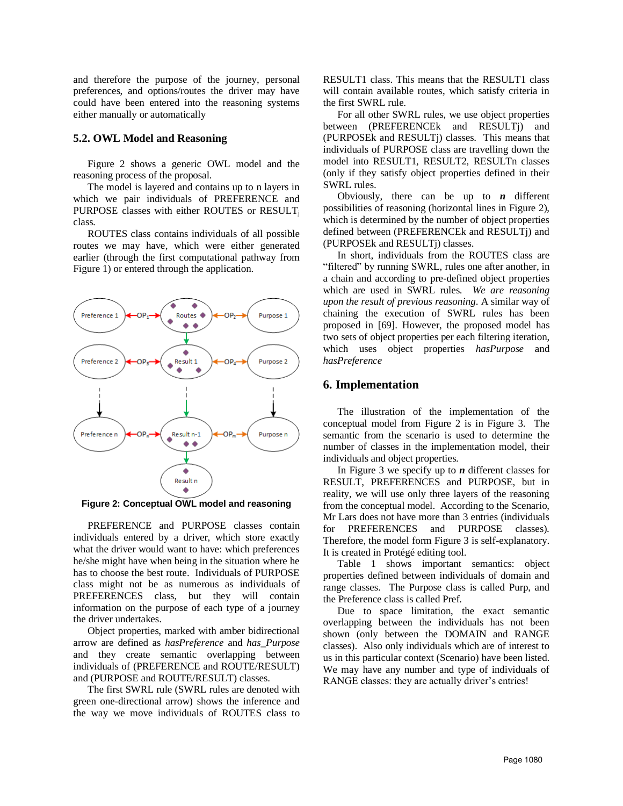and therefore the purpose of the journey, personal preferences, and options/routes the driver may have could have been entered into the reasoning systems either manually or automatically

#### **5.2. OWL Model and Reasoning**

Figure 2 shows a generic OWL model and the reasoning process of the proposal.

The model is layered and contains up to n layers in which we pair individuals of PREFERENCE and PURPOSE classes with either ROUTES or RESULT<sub>i</sub> class.

ROUTES class contains individuals of all possible routes we may have, which were either generated earlier (through the first computational pathway from Figure 1) or entered through the application.



**Figure 2: Conceptual OWL model and reasoning**

PREFERENCE and PURPOSE classes contain individuals entered by a driver, which store exactly what the driver would want to have: which preferences he/she might have when being in the situation where he has to choose the best route. Individuals of PURPOSE class might not be as numerous as individuals of PREFERENCES class, but they will contain information on the purpose of each type of a journey the driver undertakes.

Object properties, marked with amber bidirectional arrow are defined as *hasPreference* and *has\_Purpose* and they create semantic overlapping between individuals of (PREFERENCE and ROUTE/RESULT) and (PURPOSE and ROUTE/RESULT) classes.

The first SWRL rule (SWRL rules are denoted with green one-directional arrow) shows the inference and the way we move individuals of ROUTES class to RESULT1 class. This means that the RESULT1 class will contain available routes, which satisfy criteria in the first SWRL rule.

For all other SWRL rules, we use object properties between (PREFERENCEk and RESULTj) and (PURPOSEk and RESULTj) classes. This means that individuals of PURPOSE class are travelling down the model into RESULT1, RESULT2, RESULTn classes (only if they satisfy object properties defined in their SWRL rules.

Obviously, there can be up to  $n$  different possibilities of reasoning (horizontal lines in Figure 2), which is determined by the number of object properties defined between (PREFERENCEk and RESULTj) and (PURPOSEk and RESULTj) classes.

In short, individuals from the ROUTES class are "filtered" by running SWRL, rules one after another, in a chain and according to pre-defined object properties which are used in SWRL rules. *We are reasoning upon the result of previous reasoning*. A similar way of chaining the execution of SWRL rules has been proposed in [69]. However, the proposed model has two sets of object properties per each filtering iteration, which uses object properties *hasPurpose* and *hasPreference*

### **6. Implementation**

The illustration of the implementation of the conceptual model from Figure 2 is in Figure 3. The semantic from the scenario is used to determine the number of classes in the implementation model, their individuals and object properties.

In Figure 3 we specify up to *n* different classes for RESULT, PREFERENCES and PURPOSE, but in reality, we will use only three layers of the reasoning from the conceptual model. According to the Scenario, Mr Lars does not have more than 3 entries (individuals for PREFERENCES and PURPOSE classes). Therefore, the model form Figure 3 is self-explanatory. It is created in Protégé editing tool.

Table 1 shows important semantics: object properties defined between individuals of domain and range classes. The Purpose class is called Purp, and the Preference class is called Pref.

Due to space limitation, the exact semantic overlapping between the individuals has not been shown (only between the DOMAIN and RANGE classes). Also only individuals which are of interest to us in this particular context (Scenario) have been listed. We may have any number and type of individuals of RANGE classes: they are actually driver's entries!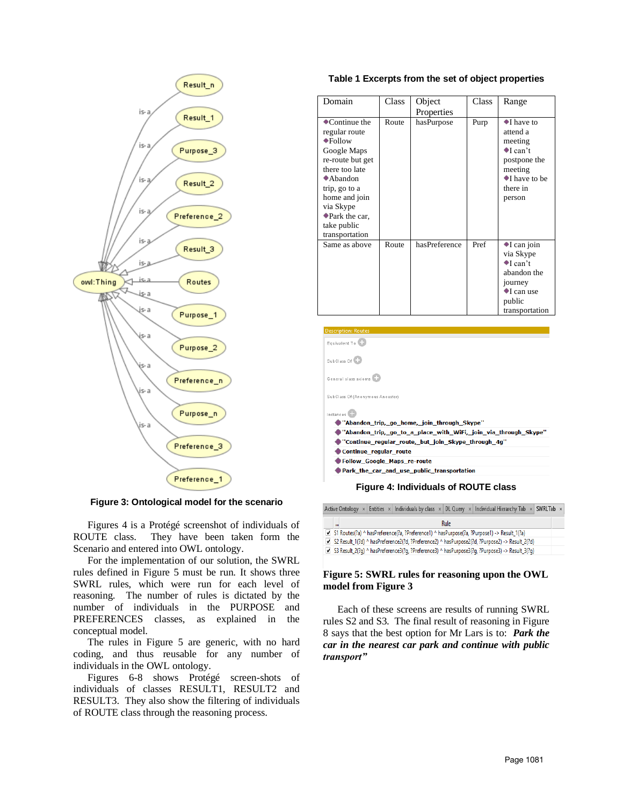

**Figure 3: Ontological model for the scenario**

Figures 4 is a Protégé screenshot of individuals of ROUTE class. They have been taken form the Scenario and entered into OWL ontology.

For the implementation of our solution, the SWRL rules defined in Figure 5 must be run. It shows three SWRL rules, which were run for each level of reasoning. The number of rules is dictated by the number of individuals in the PURPOSE and PREFERENCES classes, as explained in the conceptual model.

The rules in Figure 5 are generic, with no hard coding, and thus reusable for any number of individuals in the OWL ontology.

Figures 6-8 shows Protégé screen-shots of individuals of classes RESULT1, RESULT2 and RESULT3. They also show the filtering of individuals of ROUTE class through the reasoning process.

#### **Table 1 Excerpts from the set of object properties**

| Domain                                                                                                                                                                                                                                         | <b>Class</b> | Object<br>Properties | <b>Class</b> | Range                                                                                                                                                  |
|------------------------------------------------------------------------------------------------------------------------------------------------------------------------------------------------------------------------------------------------|--------------|----------------------|--------------|--------------------------------------------------------------------------------------------------------------------------------------------------------|
| $\bullet$ Continue the<br>regular route<br>$\bullet$ Follow<br>Google Maps<br>re-route but get<br>there too late<br>$\blacklozenge$ Abandon<br>trip, go to a<br>home and join<br>via Skype<br>◆ Park the car.<br>take public<br>transportation | Route        | hasPurpose           | Purp         | $\bullet$ I have to<br>attend a<br>meeting<br>$\blacklozenge$ [ can't<br>postpone the<br>meeting<br>$\blacklozenge$ I have to be<br>there in<br>person |
| Same as above                                                                                                                                                                                                                                  | Route        | hasPreference        | Pref         | $\bullet$ I can join<br>via Skype<br>$\bullet$ I can't<br>abandon the<br>journey<br>$\blacktriangleright$ I can use<br>public<br>transportation        |



| Abdition trip, go to a place with will, join via allough skype            |  |  |  |  |
|---------------------------------------------------------------------------|--|--|--|--|
| $\blacktriangleright$ "Continue regular route, but ioin Skype through 4g" |  |  |  |  |

Continue\_regular\_route

Follow\_Google\_Maps\_re-route

Park\_the\_car\_and\_use\_public\_transportation

**Figure 4: Individuals of ROUTE class**

|          |  |      | Active Ontology $\times$ Entities $\times$ Individuals by class $\times$ DL Query $\times$ Individual Hierarchy Tab $\times$ SWRLTab $\times$ |  |
|----------|--|------|-----------------------------------------------------------------------------------------------------------------------------------------------|--|
| $\cdots$ |  | Rule |                                                                                                                                               |  |
|          |  |      | S1 Routes(?a) ^ hasPreference(?a, ?Preference1) ^ hasPurpose(?a, ?Purpose1) -> Result 1(?a)                                                   |  |
|          |  |      | S2 Result 1(?d) ^ hasPreference2(?d, ?Preference2) ^ hasPurpose2(?d, ?Purpose2) -> Result 2(?d)                                               |  |
|          |  |      | S3 Result 2(?q) ^ hasPreference3(?q, ?Preference3) ^ hasPurpose3(?q, ?Purpose3) -> Result 3(?q)                                               |  |

## **Figure 5: SWRL rules for reasoning upon the OWL model from Figure 3**

Each of these screens are results of running SWRL rules S2 and S3. The final result of reasoning in Figure 8 says that the best option for Mr Lars is to: *Park the car in the nearest car park and continue with public transport"*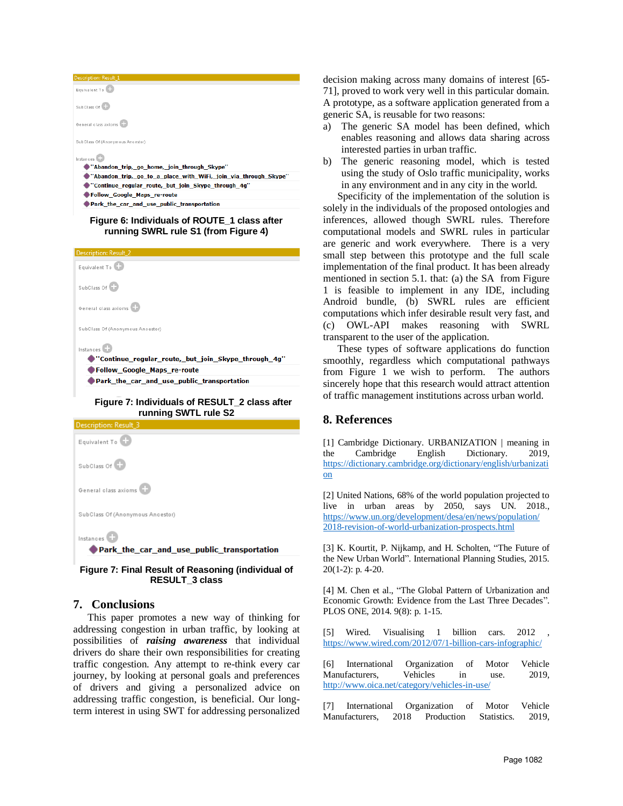| <b>Description: Result_1</b>                                    |
|-----------------------------------------------------------------|
| Equivalent To                                                   |
| SubClass Of                                                     |
| General class axioms                                            |
| SubClass Of (Anonymous Ancestor)                                |
| Instances                                                       |
| "Abandon trip, go home, join through Skype"                     |
| "Abandon trip, go to a place with WiFi, join via through Skype" |
| "Continue regular route, but join Skype through 4g"             |
| Follow_Google_Maps_re-route                                     |
| Park the car and use public transportation                      |
|                                                                 |

#### **Figure 6: Individuals of ROUTE\_1 class after running SWRL rule S1 (from Figure 4)**



# **running SWTL rule S2 Description: Result**



**Figure 7: Final Result of Reasoning (individual of RESULT\_3 class**

# **7. Conclusions**

This paper promotes a new way of thinking for addressing congestion in urban traffic, by looking at possibilities of *raising awareness* that individual drivers do share their own responsibilities for creating traffic congestion. Any attempt to re-think every car journey, by looking at personal goals and preferences of drivers and giving a personalized advice on addressing traffic congestion, is beneficial. Our longterm interest in using SWT for addressing personalized decision making across many domains of interest [65- 71], proved to work very well in this particular domain. A prototype, as a software application generated from a generic SA, is reusable for two reasons:

- a) The generic SA model has been defined, which enables reasoning and allows data sharing across interested parties in urban traffic.
- b) The generic reasoning model, which is tested using the study of Oslo traffic municipality, works in any environment and in any city in the world.

Specificity of the implementation of the solution is solely in the individuals of the proposed ontologies and inferences, allowed though SWRL rules. Therefore computational models and SWRL rules in particular are generic and work everywhere. There is a very small step between this prototype and the full scale implementation of the final product. It has been already mentioned in section 5.1. that: (a) the SA from Figure 1 is feasible to implement in any IDE, including Android bundle, (b) SWRL rules are efficient computations which infer desirable result very fast, and (c) OWL-API makes reasoning with SWRL transparent to the user of the application.

These types of software applications do function smoothly, regardless which computational pathways from Figure 1 we wish to perform. The authors sincerely hope that this research would attract attention of traffic management institutions across urban world.

# **8. References**

[1] Cambridge Dictionary. URBANIZATION | meaning in the Cambridge English Dictionary. 2019, [https://dictionary.cambridge.org/dictionary/english/urbanizati](https://dictionary.cambridge.org/dictionary/english/urbanization) [on](https://dictionary.cambridge.org/dictionary/english/urbanization)

[2] United Nations, 68% of the world population projected to live in urban areas by 2050, says UN. 2018., [https://www.un.org/development/desa/en/news/population/](https://www.un.org/development/desa/en/news/population/%202018-revision-of-world-urbanization-prospects.html)  [2018-revision-of-world-urbanization-prospects.html](https://www.un.org/development/desa/en/news/population/%202018-revision-of-world-urbanization-prospects.html)

[3] K. Kourtit, P. Nijkamp, and H. Scholten, "The Future of the New Urban World". International Planning Studies, 2015. 20(1-2): p. 4-20.

[4] M. Chen et al., "The Global Pattern of Urbanization and Economic Growth: Evidence from the Last Three Decades". PLOS ONE, 2014. 9(8): p. 1-15.

[5] Wired. Visualising 1 billion cars. 2012 <https://www.wired.com/2012/07/1-billion-cars-infographic/>

[6] International Organization of Motor Vehicle Manufacturers, Vehicles in use. 2019, <http://www.oica.net/category/vehicles-in-use/>

[7] International Organization of Motor Vehicle Manufacturers, 2018 Production Statistics. 2019,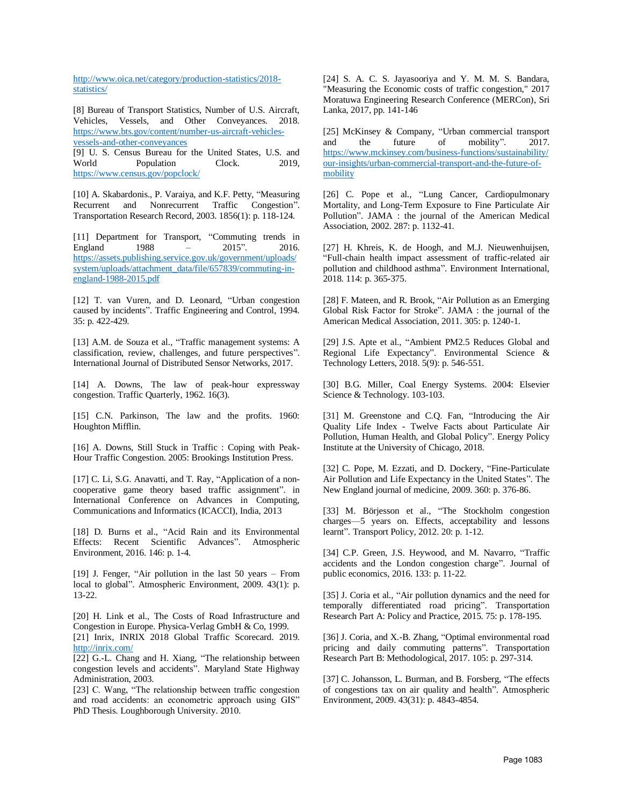[http://www.oica.net/category/production-statistics/2018](http://www.oica.net/category/production-statistics/2018-statistics/) [statistics/](http://www.oica.net/category/production-statistics/2018-statistics/)

[8] Bureau of Transport Statistics, Number of U.S. Aircraft, Vehicles, Vessels, and Other Conveyances. 2018. [https://www.bts.gov/content/number-us-aircraft-vehicles](https://www.bts.gov/content/number-us-aircraft-vehicles-vessels-and-other-conveyances)[vessels-and-other-conveyances](https://www.bts.gov/content/number-us-aircraft-vehicles-vessels-and-other-conveyances) [9] U. S. Census Bureau for the United States, U.S. and

World Population Clock. 2019, <https://www.census.gov/popclock/>

[10] A. Skabardonis., P. Varaiya, and K.F. Petty, "Measuring Recurrent and Nonrecurrent Traffic Congestion". Transportation Research Record, 2003. 1856(1): p. 118-124.

[11] Department for Transport, "Commuting trends in England 1988 – 2015". 2016. [https://assets.publishing.service.gov.uk/government/uploads/](https://assets.publishing.service.gov.uk/government/uploads/system/uploads/attachment_data/file/657839/commuting-in-england-1988-2015.pdf) [system/uploads/attachment\\_data/file/657839/commuting-in](https://assets.publishing.service.gov.uk/government/uploads/system/uploads/attachment_data/file/657839/commuting-in-england-1988-2015.pdf)[england-1988-2015.pdf](https://assets.publishing.service.gov.uk/government/uploads/system/uploads/attachment_data/file/657839/commuting-in-england-1988-2015.pdf)

[12] T. van Vuren, and D. Leonard, "Urban congestion caused by incidents". Traffic Engineering and Control, 1994. 35: p. 422-429.

[13] A.M. de Souza et al., "Traffic management systems: A classification, review, challenges, and future perspectives". International Journal of Distributed Sensor Networks, 2017.

[14] A. Downs, The law of peak-hour expressway congestion. Traffic Quarterly, 1962. 16(3).

[15] C.N. Parkinson, The law and the profits. 1960: Houghton Mifflin.

[16] A. Downs, Still Stuck in Traffic : Coping with Peak-Hour Traffic Congestion. 2005: Brookings Institution Press.

[17] C. Li, S.G. Anavatti, and T. Ray, "Application of a noncooperative game theory based traffic assignment". in International Conference on Advances in Computing, Communications and Informatics (ICACCI), India, 2013

[18] D. Burns et al., "Acid Rain and its Environmental Effects: Recent Scientific Advances". Atmospheric Environment, 2016. 146: p. 1-4.

[19] J. Fenger, "Air pollution in the last 50 years – From local to global". Atmospheric Environment, 2009. 43(1): p. 13-22.

[20] H. Link et al., The Costs of Road Infrastructure and Congestion in Europe. Physica-Verlag GmbH & Co, 1999.

[21] Inrix, INRIX 2018 Global Traffic Scorecard. 2019. <http://inrix.com/>

[22] G.-L. Chang and H. Xiang, "The relationship between congestion levels and accidents". Maryland State Highway Administration, 2003.

[23] C. Wang, "The relationship between traffic congestion and road accidents: an econometric approach using GIS" PhD Thesis. Loughborough University. 2010.

[24] S. A. C. S. Jayasooriya and Y. M. M. S. Bandara, "Measuring the Economic costs of traffic congestion," 2017 Moratuwa Engineering Research Conference (MERCon), Sri Lanka, 2017, pp. 141-146

[25] McKinsey & Company, "Urban commercial transport and the future of mobility". 2017. <https://www.mckinsey.com/business-functions/sustainability/> [our-insights/urban-commercial-transport-and-the-future-of](https://www.mckinsey.com/business-functions/sustainability/)[mobility](https://www.mckinsey.com/business-functions/sustainability/)

[26] C. Pope et al., "Lung Cancer, Cardiopulmonary Mortality, and Long-Term Exposure to Fine Particulate Air Pollution". JAMA : the journal of the American Medical Association, 2002. 287: p. 1132-41.

[27] H. Khreis, K. de Hoogh, and M.J. Nieuwenhuijsen, "Full-chain health impact assessment of traffic-related air pollution and childhood asthma". Environment International, 2018. 114: p. 365-375.

[28] F. Mateen, and R. Brook, "Air Pollution as an Emerging Global Risk Factor for Stroke". JAMA : the journal of the American Medical Association, 2011. 305: p. 1240-1.

[29] J.S. Apte et al., "Ambient PM2.5 Reduces Global and Regional Life Expectancy". Environmental Science & Technology Letters, 2018. 5(9): p. 546-551.

[30] B.G. Miller, Coal Energy Systems. 2004: Elsevier Science & Technology. 103-103.

[31] M. Greenstone and C.Q. Fan, "Introducing the Air Quality Life Index - Twelve Facts about Particulate Air Pollution, Human Health, and Global Policy". Energy Policy Institute at the University of Chicago, 2018.

[32] C. Pope, M. Ezzati, and D. Dockery, "Fine-Particulate Air Pollution and Life Expectancy in the United States". The New England journal of medicine, 2009. 360: p. 376-86.

[33] M. Börjesson et al., "The Stockholm congestion charges—5 years on. Effects, acceptability and lessons learnt". Transport Policy, 2012. 20: p. 1-12.

[34] C.P. Green, J.S. Heywood, and M. Navarro, "Traffic accidents and the London congestion charge". Journal of public economics, 2016. 133: p. 11-22.

[35] J. Coria et al., "Air pollution dynamics and the need for temporally differentiated road pricing". Transportation Research Part A: Policy and Practice, 2015. 75: p. 178-195.

[36] J. Coria, and X.-B. Zhang, "Optimal environmental road pricing and daily commuting patterns". Transportation Research Part B: Methodological, 2017. 105: p. 297-314.

[37] C. Johansson, L. Burman, and B. Forsberg, "The effects of congestions tax on air quality and health". Atmospheric Environment, 2009. 43(31): p. 4843-4854.